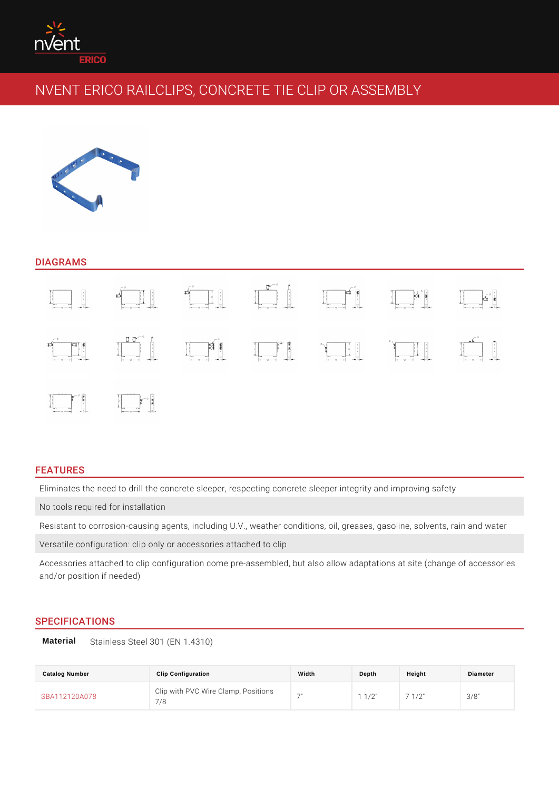#### DIAGRAMS

### FEATURES

Eliminates the need to drill the concrete sleeper, respecting concrete sleeper i No tools required for installation

Resistant to corrosion-causing agents, including U.V., weather conditions, oil,

Versatile configuration: clip only or accessories attached to clip

Accessories attached to clip configuration come pre-assembled, but also allow a and/or position if needed)

### SPECIFICATIONS

Material Stainless Steel 301 (EN 1.4310)

| Catalog Number | <b>Clip Configuration</b>                                 | Width | Depth | Height | Diameter |
|----------------|-----------------------------------------------------------|-------|-------|--------|----------|
| SBA112120A078  | Clip with PVC Wire Clamp, Positions 11/2" 7 1/2"<br>7 / R |       |       |        | 3/8"     |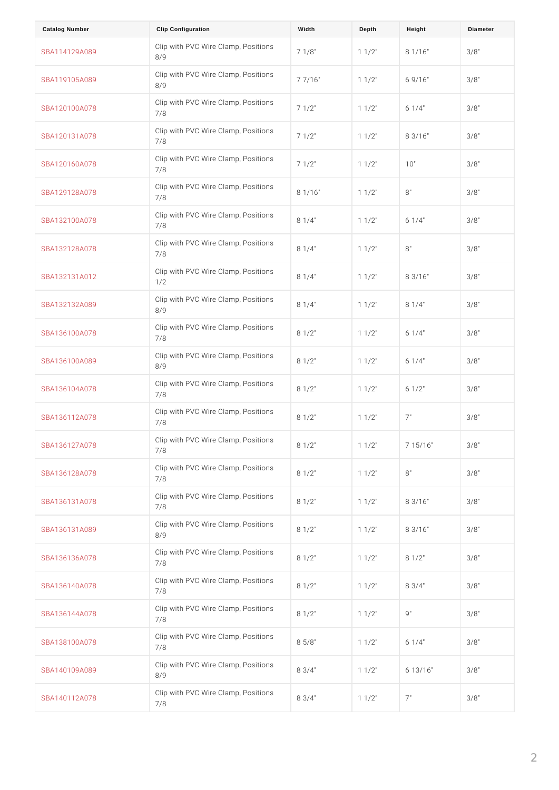| <b>Catalog Number</b> | Clip Configuration                                        | Width | Depth       | Height      | Diameter |
|-----------------------|-----------------------------------------------------------|-------|-------------|-------------|----------|
| SBA114129A089         | Clip with PVC Wire Clamp, Positions<br>8/9                |       | $1 \t1/2$   | $8$ 1/16"   | 3/8"     |
| SBA119105A089         | Clip with PVC Wire Clamp, Positions<br>8/9                |       | $1 \t1/2$   | 69/16"      | 3/8"     |
| SBA120100A078         | Clip with PVC Wire Clamp, Positions<br>7/8                |       | $1 \t1/2$   | $6 \t1/4$ " | 3/8"     |
| SBA120131A078         | Clip with PVC Wire Clamp, Positions<br>7/8                |       | $1 \t1/2$   | 83/16"      | 3/8"     |
| SBA120160A078         | Clip with PVC Wire Clamp, $P_1$ ositions<br>7/8           |       | 1 1/2       | 10"         | 3/8"     |
| SBA129128A078         | Clip with PVC Wire $C$ lam $p_3$ Positions<br>7/8         |       | $1 \t1/2$   | 8"          | 3/8"     |
| SBA132100A078         | Clip with PVC Wire Clamp, $P_0 s$ itions<br>7/8           |       | $1 \t1/2$   | 6 1/4       | 3/8"     |
| SBA132128A078         | Clip with PVC Wire Clamp, $P_0$ sitions<br>7/8            |       | $1 \t1/2$   | 8"          | 3/8"     |
| SBA132131A012         | Clip with PVC Wire Clamp, $P_0 s$ itions<br>1/2           |       | $1 \t1/2$   | 83/16"      | 3/8"     |
| SBA132132A089         | Clip with PVC Wire Clamp, $P_0$ sitions<br>8/9            |       | $1 \t1/2$   | $8 \t1/4$ " | 3/8"     |
| SBA136100A078         | Clip with PVC Wire Clamp, $P_0$ sitions<br>7/8            |       | $1 \t1/2$   | $6 \t1/4$   | $3/8$ "  |
| SBA136100A089         | Clip with PVC Wire $C$ lam $p$ , Positions<br>8/9         |       | $1 \t1/2$   | $6 \t1/4$   | 3/8"     |
| SBA136104A078         | Clip with PVC Wire Clamp, $P_0$ sitions<br>7/8            |       | $1 \t1/2$   | $6$ 1/2"    | 3/8"     |
| SBA136112A078         | Clip with PVC Wire $C$ lam $p \,$ , Positions<br>7/8      |       | $1 \t1/2$ " | 7"          | 3/8"     |
| SBA136127A078         | Clip with PVC Wire Clamp, $P_0$ sitions<br>7/8            |       | 1 1/2"      | 7 15/16"    | 3/8"     |
| SBA136128A078         | Clip with PVC Wire Clamp, Positions<br>7/8                |       | $1 \t1/2$ " | 8"          | $3/8$ "  |
| SBA136131A078         | Clip with PVC Wire Clamp, $P_1$ ositions<br>7/8           |       | $1 \t1/2$   | $8$ 3/16"   | 3/8"     |
| SBA136131A089         | Clip with PVC Wire Clamp, $P_1$ ositions<br>8/9           |       | $1 \t1/2$   | $8$ 3/16"   | 3/8"     |
| SBA136136A078         | Clip with PVC Wire Clamp, $P_0 s$ itions<br>7/8           |       | $1 \t1/2$   | $8$ 1/2"    | 3/8"     |
| SBA136140A078         | Clip with PVC Wire Clamp, $P_1 \circ P_3$ itions<br>7/8   |       | $1 \t1/2$   | $8 \t3/4$ " | $3/8$ "  |
| SBA136144A078         | Clip with PVC Wire Clamp, $P_0 s$ itions<br>7/8           |       | $1 \t1/2$   | 9"          | $3/8$ "  |
| SBA138100A078         | Clip with PVC Wire Clamp, $P_0s$ itions<br>7/8            |       | $1 \t1/2$   | $6 1/4$ "   | $3/8$ "  |
| SBA140109A089         | Clip with PVC Wire Clamp, $P_0 s$ itions<br>8/9           |       | $1 \t1/2$   | $6$ 13/16"  | 3/8"     |
| SBA140112A078         | Clip with PVC Wire Clamp, $P_0 \sin i \sin \theta$<br>7/8 |       | 1 1/2       | 7"          | $3/8$ "  |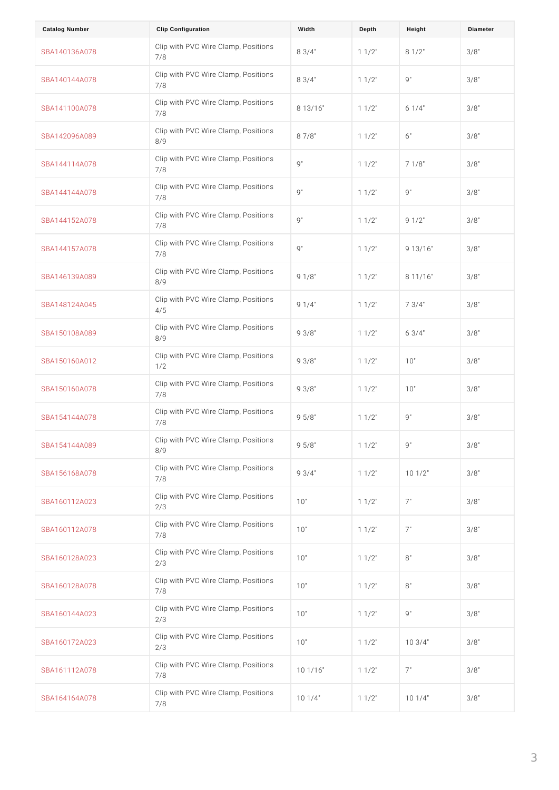| <b>Catalog Number</b> | Clip Configuration                                                      | Width | Depth     | Height     | Diameter |
|-----------------------|-------------------------------------------------------------------------|-------|-----------|------------|----------|
| SBA140136A078         | Clip with PVC Wire Clamp, $P_0$ sitions<br>7/8                          |       | $1 \t1/2$ | $8 \t1/2$  | 3/8"     |
| SBA140144A078         | Clip with PVC Wire Clamp, $P_{8}$ S <sub>3</sub> /4 <sup>"</sup><br>7/8 |       | $1 \t1/2$ | 9"         | 3/8"     |
| SBA141100A078         | Clip with PVC Wire Clamp, Positions<br>7/8                              |       | $1 \t1/2$ | $6 \t1/4$  | 3/8"     |
| SBA142096A089         | Clip with PVC Wire $C$ lam $p_3$ Positions<br>8/9                       |       | $1 \t1/2$ | 6 "        | 3/8"     |
| SBA144114A078         | Clip with PVC Wire Clamp, Positions<br>7/8                              |       | $1 \t1/2$ | 7 1/8"     | 3/8"     |
| SBA144144A078         | Clip with PVC Wire Clamp, Positions<br>7/8                              |       | $1 \t1/2$ | 9"         | 3/8"     |
| SBA144152A078         | Clip with PVC Wire Clamp, Positions<br>7/8                              |       | $1 \t1/2$ | 9 1/2      | 3/8"     |
| SBA144157A078         | Clip with PVC Wire Clamp, Positions<br>7/8                              |       | $1 \t1/2$ | 9 13/16"   | 3/8"     |
| SBA146139A089         | Clip with PVC Wire Clamp, $P_9 \circ s$ itions<br>8/9                   |       | $1 \t1/2$ | 8 11/16"   | 3/8"     |
| SBA148124A045         | Clip with PVC Wire Clamp, $P_9$ sitions<br>4/5                          |       | $1 \t1/2$ | 73/4"      | 3/8"     |
| SBA150108A089         | Clip with PVC Wire Clamp, $P_9$ $S_3 / 8$ <sup>"</sup><br>8/9           |       | $1 \t1/2$ | 63/4"      | 3/8"     |
| SBA150160A012         | Clip with PVC Wire $C$ lamp, Positions<br>1/2                           |       | $1 \t1/2$ | 10"        | 3/8"     |
| SBA150160A078         | Clip with PVC Wire Clamp, $P_9s$ itions<br>7/8                          |       | $1 \t1/2$ | 10"        | 3/8"     |
| SBA154144A078         | Clip with PVC Wire Clamp, $P_9s_{10}$ tions<br>7/8                      |       | 1 1/2     | 9"         | 3/8"     |
| SBA154144A089         | Clip with PVC Wire Clamp, $P_0$ sitions<br>8/9                          |       | 1 1/2"    | 9 "        | 3/8"     |
| SBA156168A078         | Clip with PVC Wire Clamp, $P_9$ Sitions<br>7/8                          |       | $1 \t1/2$ | 101/2      | 3/8"     |
| SBA160112A023         | Clip with PVC Wire Clamp, Positions<br>2/3                              |       | $1 \t1/2$ | 7"         | $3/8$ "  |
| SBA160112A078         | Clip with PVC Wire Clamp, Positions<br>7/8                              |       | $1 \t1/2$ | 7"         | $3/8$ "  |
| SBA160128A023         | Clip with PVC Wire Clamp, Positions<br>2/3                              |       | $1 \t1/2$ | 8"         | 3/8"     |
| SBA160128A078         | Clip with PVC Wire Clamp, Positions<br>7/8                              |       | $1 \t1/2$ | 8"         | 3/8"     |
| SBA160144A023         | Clip with PVC Wire Clamp, Positions<br>2/3                              |       | $1 \t1/2$ | 9"         | 3/8"     |
| SBA160172A023         | Clip with PVC Wire Clamp, Positions<br>2/3                              |       | $1 \t1/2$ | $10 \t3/4$ | 3/8"     |
| SBA161112A078         | Clip with PVC Wire Clamp, Positions<br>7/8                              |       | $1 \t1/2$ | 7"         | 3/8"     |
| SBA164164A078         | Clip with PVC Wire Clamp, Positions<br>7/8                              |       | 1 1/2"    | 101/4"     | $3/8$ "  |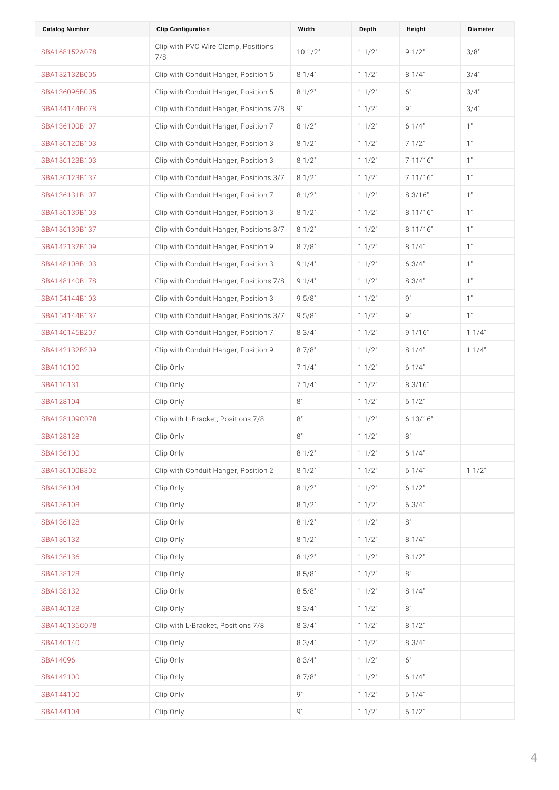| <b>Catalog Number</b> | Clip Configuration                                            | Width        | Depth     | Height      | Diameter    |
|-----------------------|---------------------------------------------------------------|--------------|-----------|-------------|-------------|
| SBA168152A078         | Clip with PVC Wire Clamp, Positions<br>7/8                    |              | $1 \t1/2$ | 9 1/2       | $3/8$ "     |
| SBA132132B005         | Clip with Conduit Hanger, 8P of \$4t'ion 5 1 1/2"             |              |           | $8 \t1/4$ " | $3/4$ "     |
| SBA136096B005         | Clip with Conduit Hanger, 8P of \$2trion 5 1 1/2"             |              |           | 6"          | $3/4$ "     |
| SBA144144B078         | Clip with Conduit Hanger, 9Positions 71/81/2"                 |              |           | 9"          | $3/4$ "     |
| SBA136100B107         | Clip with Conduit Hanger, 8P of \$2 tion 7 1 1/2"             |              |           | $6 \t1/4$ " | 1"          |
| SBA136120B103         | Clip with Conduit Hanger, 8P of \$2 tion 3 1 1/2"             |              |           | $7 \t1/2$   | 1"          |
| SBA136123B103         | Clip with Conduit Hanger, 8P 0 \$2 tion 3 1 1/2"              |              |           | 7 11/16"    | 1"          |
| SBA136123B137         | Clip with Conduit Hanger, 8P of \$2t"ions 31/71/2"            |              |           | 7 11/16"    | 1"          |
| SBA136131B107         | Clip with Conduit Hanger, 8P of \$2t"ion 7 1 1/2"             |              |           | $8 \t3/16"$ | 1"          |
| SBA136139B103         | Clip with Conduit Hanger, 8P of \$2t"ion 3 1 1/2"             |              |           | $8$ 11/16"  | 1"          |
| SBA136139B137         | Clip with Conduit Hanger, 8P of \$2trions 31/71/2"            |              |           | $8$ 11/16"  | 1"          |
| SBA142132B109         | Clip with Conduit Hanger, 8P $\bar{\sigma}$ \$8 tion 9 1 1/2" |              |           | $8 \t1/4$ " | 1"          |
| SBA148108B103         | Clip with Conduit Hanger, 9P of \$4 tion 3 1 1/2"             |              |           | $6 \t3/4$ " | 1"          |
| SBA148140B178         | Clip with Conduit Hanger, 9P of \$4 tions 71/81/2"            |              |           | $8 \t3/4$ " | 1"          |
| SBA154144B103         | Clip with Conduit Hanger, 9P 5 68 tion 3 1 1/2"               |              |           | 9"          | 1"          |
| SBA154144B137         | Clip with Conduit Hanger, 9P 5 \$ 8 t'ions 31/71 / 2"         |              |           | 9 "         | 1"          |
| SBA140145B207         | Clip with Conduit Hanger, 8P 8 \$4 t'ion 7 1 1/2"             |              |           | 9 1/16"     | $1 \t1/4$ " |
| SBA142132B209         | Clip with Conduit Hanger, 8P $\overline{a}$ \$8t"ion 9 1 1/2" |              |           | $8 \t1/4$ " | $1 \t1/4$ " |
| SBA116100             | Clip Only                                                     | $7 \t1/4$ "  | $1 \t1/2$ | $6 \t1/4$ " |             |
| SBA116131             | Clip Only                                                     | $7 \t1/4$ "  | $1 \t1/2$ | 83/16"      |             |
| SBA128104             | Clip Only                                                     | 8 "          | $1 \t1/2$ | $6 \t1/2$   |             |
| SBA128109C078         | Clip with L-Bracket, PositBons 7/8                            |              | $1 \t1/2$ | $6$ 13/16"  |             |
| SBA128128             | Clip Only                                                     | 8"           | $1 \t1/2$ | 8"          |             |
| SBA136100             | Clip Only                                                     | $8 \t1/2$    | $1 \t1/2$ | $6 \t1/4$ " |             |
| SBA136100B302         | Clip with Conduit Hanger, 8P 0 \$ 2 t'ion 2 1 1/2"            |              |           | $6 \t1/4$   | $1 \t1/2$   |
| SBA136104             | Clip Only                                                     | $8 \t1/2$    | $1 \t1/2$ | $6 \t1/2$   |             |
| SBA136108             | Clip Only                                                     | $8 \t1/2$    | $1 \t1/2$ | $6 \t3/4$ " |             |
| SBA136128             | Clip Only                                                     | $8 \t1/2$    | $1 \t1/2$ | 8 "         |             |
| SBA136132             | Clip Only                                                     | $8 \t1/2$    | $1 \t1/2$ | $8 \t1/4$   |             |
| SBA136136             | Clip Only                                                     | $8 \t1/2$    | $1 \t1/2$ | $8$ 1/2"    |             |
| SBA138128             | Clip Only                                                     | 85/8"        | $1 \t1/2$ | 8 "         |             |
| SBA138132             | Clip Only                                                     | $8\;\;5/8$ " | $1 \t1/2$ | $8 \t1/4$ " |             |
| SBA140128             | Clip Only                                                     | $8 \t3/4$ "  | $1 \t1/2$ | 8 "         |             |
| SBA140136C078         | Clip with L-Bracket, PositBo 68 \$47/8                        |              | $1 \t1/2$ | $8 \t1/2$   |             |
| SBA140140             | Clip Only                                                     | $8 \t3/4$ "  | $1 \t1/2$ | $8 \t3/4$ " |             |
| SBA14096              | Clip Only                                                     | $8 \t3/4$ "  | $1 \t1/2$ | 6 "         |             |
| SBA142100             | Clip Only                                                     | 87/8"        | $1 \t1/2$ | $6 \t1/4$   |             |
| SBA144100             | Clip Only                                                     | 9"           | $1 \t1/2$ | $6 \t1/4$   |             |
| SBA144104             | Clip Only                                                     | 9"           | $1 \t1/2$ | $6 \t1/2$   |             |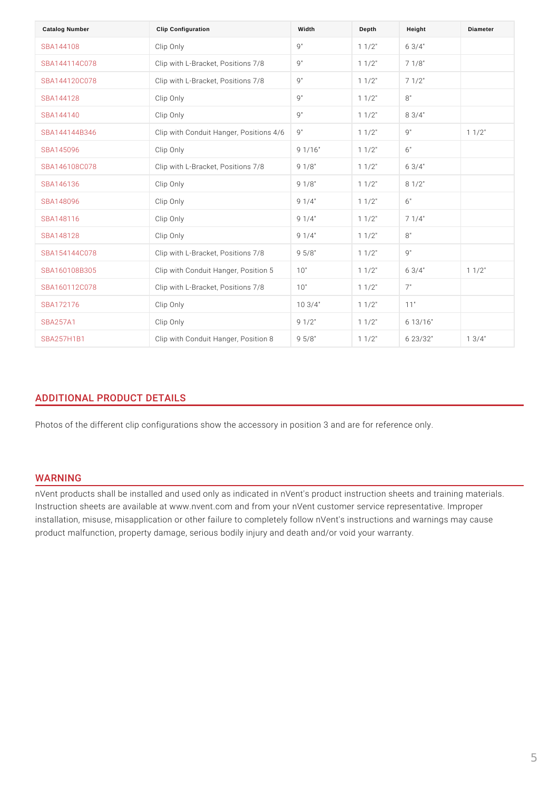| Catalog Number    | Clip Configuration                              | Width       | Depth       | Height                  | Diameter    |
|-------------------|-------------------------------------------------|-------------|-------------|-------------------------|-------------|
| SBA144108         | Clip Only                                       | 9 "         | $1 \t1/2$   | $6 \t3/4$ "             |             |
| SBA144114C078     | Clip with L-Bracket, Posit Do'ns 7/8            |             | $1 \t1/2$   | $7 \t1/8"$              |             |
| SBA144120C078     | Clip with L-Bracket, Posit Bo"ns 7/8            |             | $1 \t1/2$ " | $7 \t1/2$               |             |
| SBA144128         | Clip Only                                       | 9"          | $1 \t1/2$ " | 8"                      |             |
| SBA144140         | Clip Only                                       | 9 "         | $1 \t1/2$ " | $8 \t3/4$ "             |             |
| SBA144144B346     | Clip with Conduit Hanger, 9Positions 41/61/2"   |             |             | 9 "                     | $1 \t1/2$ " |
| SBA145096         | Clip Only                                       | 9 1/16"     | $1 \t1/2$ " | 6"                      |             |
| SBA146108C078     | Clip with L-Bracket, PositBon \$87/8            |             | $1 \t1/2$ " | $6 \t3/4$ "             |             |
| SBA146136         | Clip Only                                       | 9 1/8"      | $1 \t1/2$ " | $8 \t1/2$               |             |
| SBA148096         | Clip Only                                       | $9 \t1/4$ " | $1 \t1/2$ " | 6 "                     |             |
| SBA148116         | Clip Only                                       | $9 \t1/4$ " | $1 \t1/2$ " | $7 \t1/4$ "             |             |
| SBA148128         | Clip Only                                       | $9 \t1/4$ " | $1 \t1/2$ " | 8"                      |             |
| SBA154144C078     | Clip with L-Bracket, Posit Do 5 \$87/8          |             | $1 \t1/2$ " | 9"                      |             |
| SBA160108B305     | Clip with Conduit Hanger, 1POd'sition 5 1 1/2"  |             |             | 6 $3/4$ "               | $1 \t1/2$ " |
| SBA160112C078     | Clip with L-Bracket, PositildOn"s 7/8           |             | $1 \t1/2$ " | 7"                      |             |
| SBA172176         | Clip Only                                       | 103/4"      | $1 \t1/2$ " | 11"                     |             |
| <b>SBA257A1</b>   | Clip Only                                       | $9 \t1/2$   | $1 \t1/2$ " | 6 13/16"                |             |
| <b>SBA257H1B1</b> | Clip with Conduit Hanger, 9P 5 68 tion 3 1 1/2" |             |             | $6\quad 2\quad 3/3\ 2"$ | $1 \t3/4$ " |

# ADDITIONAL PRODUCT DETAILS

Photos of the different clip configurations show the accessory in position 3 and

## WARNING

nVent products shall be installed and used only as indicated in nVent's product Instruction sheets are available at www.nvent.com and from your nVent customer installation, misuse, misapplication or other failure to completely follow nVent's product malfunction, property damage, serious bodily injury and death and/or vo